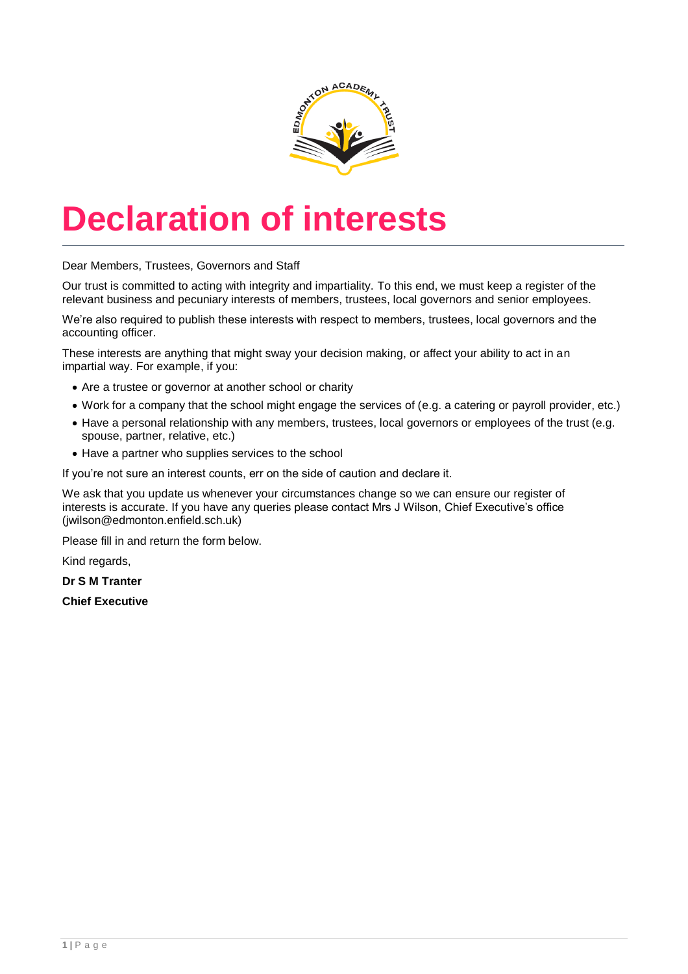

# **Declaration of interests**

Dear Members, Trustees, Governors and Staff

Our trust is committed to acting with integrity and impartiality. To this end, we must keep a register of the relevant business and pecuniary interests of members, trustees, local governors and senior employees.

We're also required to publish these interests with respect to members, trustees, local governors and the accounting officer.

These interests are anything that might sway your decision making, or affect your ability to act in an impartial way. For example, if you:

- Are a trustee or governor at another school or charity
- Work for a company that the school might engage the services of (e.g. a catering or payroll provider, etc.)
- Have a personal relationship with any members, trustees, local governors or employees of the trust (e.g. spouse, partner, relative, etc.)
- Have a partner who supplies services to the school

If you're not sure an interest counts, err on the side of caution and declare it.

We ask that you update us whenever your circumstances change so we can ensure our register of interests is accurate. If you have any queries please contact Mrs J Wilson, Chief Executive's office (jwilson@edmonton.enfield.sch.uk)

Please fill in and return the form below.

Kind regards,

**Dr S M Tranter**

**Chief Executive**